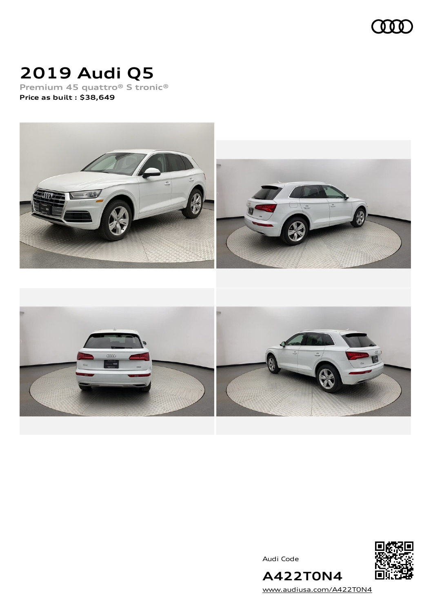

# **2019 Audi Q5**

**Premium 45 quattro® S tronic® Price as built [:](#page-10-0) \$38,649**



Audi Code



**A422T0N4** [www.audiusa.com/A422T0N4](https://www.audiusa.com/A422T0N4)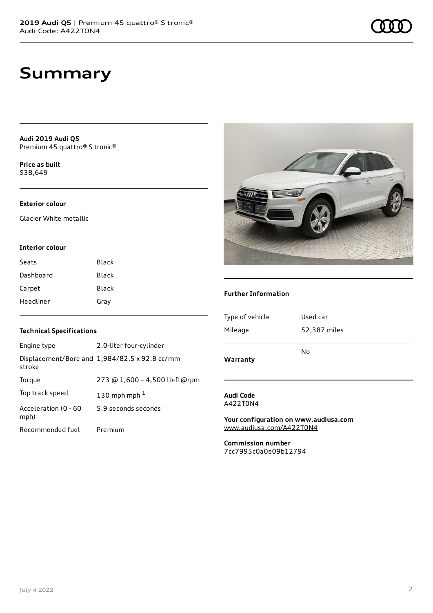**Audi 2019 Audi Q5** Premium 45 quattro® S tronic®

**Price as buil[t](#page-10-0)** \$38,649

### **Exterior colour**

Glacier White metallic

#### **Interior colour**

| Seats     | Black        |
|-----------|--------------|
| Dashboard | Black        |
| Carpet    | <b>Black</b> |
| Headliner | Gray         |

#### **Further Information**

| Type of vehicle | Used car     |
|-----------------|--------------|
| Mileage         | 52,387 miles |
|                 |              |
|                 | Nο           |
| Warranty        |              |

#### **Audi Code** A422T0N4

**Your configuration on www.audiusa.com** [www.audiusa.com/A422T0N4](https://www.audiusa.com/A422T0N4)

**Commission number** 7cc7995c0a0e09b12794

#### **Technical Specifications**

| Engine type                  | 2.0-liter four-cylinder                       |
|------------------------------|-----------------------------------------------|
| stroke                       | Displacement/Bore and 1,984/82.5 x 92.8 cc/mm |
| Torque                       | 273 @ 1,600 - 4,500 lb-ft@rpm                 |
| Top track speed              | 130 mph mph $1$                               |
| Acceleration (0 - 60<br>mph) | 5.9 seconds seconds                           |
| Recommended fuel             | Premium                                       |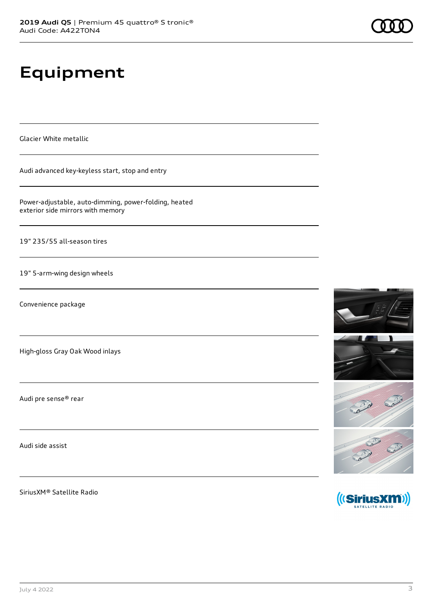# **Equipment**

Glacier White metallic

Audi advanced key-keyless start, stop and entry

Power-adjustable, auto-dimming, power-folding, heated exterior side mirrors with memory

19" 235/55 all-season tires

19" 5-arm-wing design wheels

Convenience package

High-gloss Gray Oak Wood inlays

Audi pre sense® rear

Audi side assist

SiriusXM® Satellite Radio





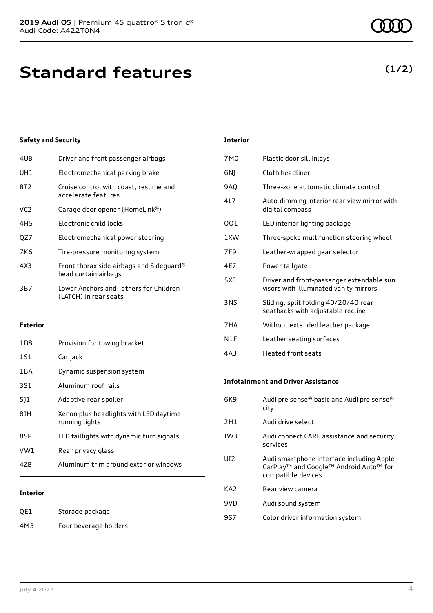| 4UB | Driver and front passenger airbags                               |
|-----|------------------------------------------------------------------|
| UH1 | Electromechanical parking brake                                  |
| 8T2 | Cruise control with coast, resume and<br>accelerate features     |
| VC2 | Garage door opener (HomeLink®)                                   |
| 4H5 | Electronic child locks                                           |
| QZ7 | Electromechanical power steering                                 |
| 7K6 | Tire-pressure monitoring system                                  |
| 4X3 | Front thorax side airbags and Sideguard®<br>head curtain airbags |
| 3B7 | Lower Anchors and Tethers for Children<br>(LATCH) in rear seats  |
|     |                                                                  |

#### **Exterior**

| <b>Interior</b> |                                                          |
|-----------------|----------------------------------------------------------|
| 4ZB             | Aluminum trim around exterior windows                    |
| VW1             | Rear privacy glass                                       |
| 8SP             | LED taillights with dynamic turn signals                 |
| 81H             | Xenon plus headlights with LED daytime<br>running lights |
| 511             | Adaptive rear spoiler                                    |
| 3S1             | Aluminum roof rails                                      |
| 1 B A           | Dynamic suspension system                                |
| 1S1             | Car jack                                                 |
| 1D8             | Provision for towing bracket                             |

#### **Interior**

| QE1 | Storage package       |
|-----|-----------------------|
| 4M3 | Four beverage holders |

| 7M <sub>0</sub> | Plastic door sill inlays                                                            |
|-----------------|-------------------------------------------------------------------------------------|
| 6N)             | Cloth headliner                                                                     |
| 9AQ             | Three-zone automatic climate control                                                |
| 417             | Auto-dimming interior rear view mirror with<br>digital compass                      |
| QQ1             | LED interior lighting package                                                       |
| 1XW             | Three-spoke multifunction steering wheel                                            |
| 7F <sub>9</sub> | Leather-wrapped gear selector                                                       |
| 4E7             | Power tailgate                                                                      |
| 5XF             | Driver and front-passenger extendable sun<br>visors with illuminated vanity mirrors |
| 3NS             | Sliding, split folding 40/20/40 rear<br>seatbacks with adjustable recline           |
| 7HA             | Without extended leather package                                                    |
| N1F             | Leather seating surfaces                                                            |
| 4A3             | <b>Heated front seats</b>                                                           |

#### **Infotainment and Driver Assistance**

| 6K9             | Audi pre sense® basic and Audi pre sense®<br>city                                                                                             |
|-----------------|-----------------------------------------------------------------------------------------------------------------------------------------------|
| 2H1             | Audi drive select                                                                                                                             |
| IW <sub>3</sub> | Audi connect CARE assistance and security<br>services                                                                                         |
| UD.             | Audi smartphone interface including Apple<br>CarPlay <sup>™</sup> and Google <sup>™</sup> Android Auto <sup>™</sup> for<br>compatible devices |
| KA <sub>2</sub> | Rear view camera                                                                                                                              |
| 9VD             | Audi sound system                                                                                                                             |
| 9S7             | Color driver information system                                                                                                               |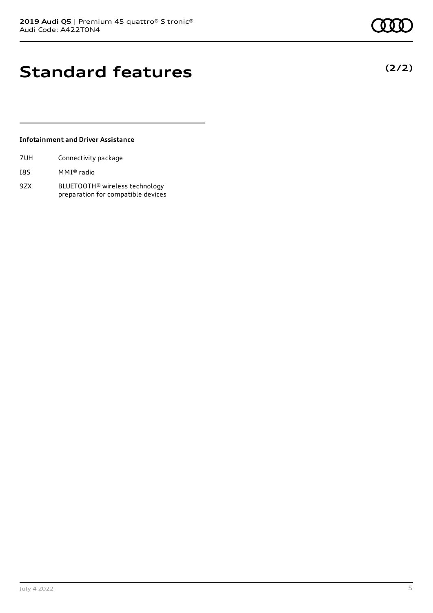## **Standard features**

#### **Infotainment and Driver Assistance**

| 7UH | Connectivity package |  |
|-----|----------------------|--|
|     |                      |  |

- I8S MMI® radio
- 9ZX BLUETOOTH® wireless technology preparation for compatible devices

**(2/2)**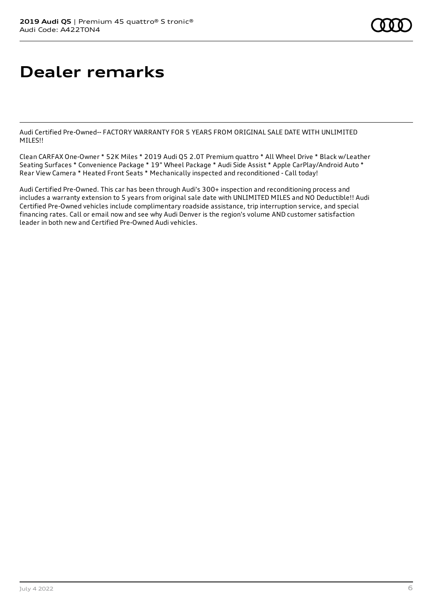# **Dealer remarks**

Audi Certified Pre-Owned-- FACTORY WARRANTY FOR 5 YEARS FROM ORIGINAL SALE DATE WITH UNLIMITED MILES!!

Clean CARFAX One-Owner \* 52K Miles \* 2019 Audi Q5 2.0T Premium quattro \* All Wheel Drive \* Black w/Leather Seating Surfaces \* Convenience Package \* 19" Wheel Package \* Audi Side Assist \* Apple CarPlay/Android Auto \* Rear View Camera \* Heated Front Seats \* Mechanically inspected and reconditioned - Call today!

Audi Certified Pre-Owned. This car has been through Audi's 300+ inspection and reconditioning process and includes a warranty extension to 5 years from original sale date with UNLIMITED MILES and NO Deductible!! Audi Certified Pre-Owned vehicles include complimentary roadside assistance, trip interruption service, and special financing rates. Call or email now and see why Audi Denver is the region's volume AND customer satisfaction leader in both new and Certified Pre-Owned Audi vehicles.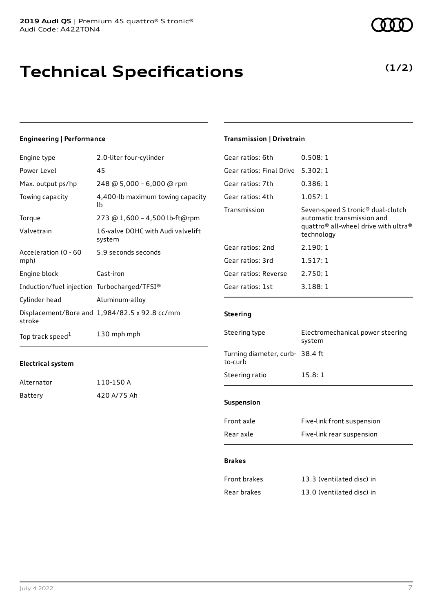## **Technical Specifications**

#### **Engineering | Performance**

| Engine type                                 | 2.0-liter four-cylinder                       |
|---------------------------------------------|-----------------------------------------------|
| Power Level                                 | 45                                            |
| Max. output ps/hp                           | 248 @ 5,000 - 6,000 @ rpm                     |
| Towing capacity                             | 4,400-lb maximum towing capacity<br>lb        |
| Torque                                      | 273 @ 1,600 - 4,500 lb-ft@rpm                 |
| Valvetrain                                  | 16-valve DOHC with Audi valvelift<br>system   |
| Acceleration (0 - 60<br>mph)                | 5.9 seconds seconds                           |
| Engine block                                | Cast-iron                                     |
| Induction/fuel injection Turbocharged/TFSI® |                                               |
| Cylinder head                               | Aluminum-alloy                                |
| stroke                                      | Displacement/Bore and 1,984/82.5 x 92.8 cc/mm |
| Top track speed <sup>1</sup>                | 130 mph mph                                   |

#### **Electrical system**

| Alternator | 110-150 A   |
|------------|-------------|
| Battery    | 420 A/75 Ah |

### **Transmission | Drivetrain**

| 0.508:1                                                                                                                                                   |
|-----------------------------------------------------------------------------------------------------------------------------------------------------------|
| 5.302:1                                                                                                                                                   |
| 0.386:1                                                                                                                                                   |
| 1.057:1                                                                                                                                                   |
| Seven-speed S tronic <sup>®</sup> dual-clutch<br>automatic transmission and<br>quattro <sup>®</sup> all-wheel drive with ultra <sup>®</sup><br>technology |
| 2.190:1                                                                                                                                                   |
| 1.517:1                                                                                                                                                   |
| 2.750:1                                                                                                                                                   |
| 3.188:1                                                                                                                                                   |
|                                                                                                                                                           |

#### **Steering**

| Steering type                              | Electromechanical power steering<br>system |  |
|--------------------------------------------|--------------------------------------------|--|
| Turning diameter, curb- 38.4 ft<br>to-curb |                                            |  |
| Steering ratio                             | 15.8:1                                     |  |
| <b>Suspension</b>                          |                                            |  |
|                                            |                                            |  |
| Front axle                                 | Five-link front suspension                 |  |
| Rear axle                                  | Five-link rear suspension                  |  |

#### **Brakes**

| Front brakes | 13.3 (ventilated disc) in |
|--------------|---------------------------|
| Rear brakes  | 13.0 (ventilated disc) in |

**(1/2)**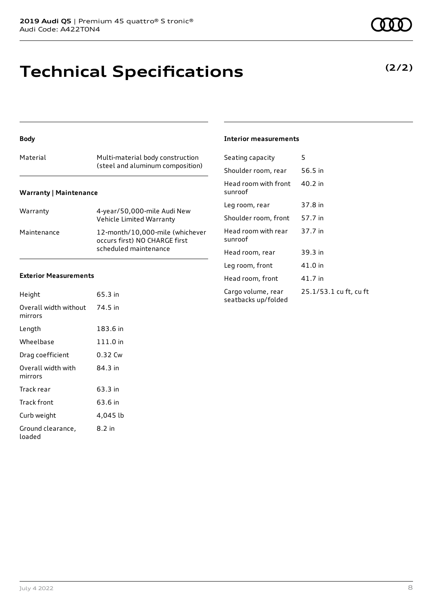### **Technical Specifications**

#### **Body**

| Material                      | Multi-material body construction<br>(steel and aluminum composition) |
|-------------------------------|----------------------------------------------------------------------|
| <b>Warranty   Maintenance</b> |                                                                      |

| Warranty    | 4-year/50,000-mile Audi New<br>Vehicle Limited Warranty                                   |
|-------------|-------------------------------------------------------------------------------------------|
| Maintenance | 12-month/10.000-mile (whichever<br>occurs first) NO CHARGE first<br>scheduled maintenance |

#### **Exterior Measurements**

| Height                           | 65.3 in  |
|----------------------------------|----------|
| Overall width without<br>mirrors | 74.5 in  |
| Length                           | 183.6 in |
| Wheelbase                        | 111.0 in |
| Drag coefficient                 | 0.32 Cw  |
| Overall width with<br>mirrors    | 84.3 in  |
| Track rear                       | 63.3 in  |
| Track front                      | 63.6 in  |
| Curb weight                      | 4,045 lb |
| Ground clearance,<br>loaded      | 8.2 in   |

#### **Interior measurements**

| Seating capacity                          | 5                      |
|-------------------------------------------|------------------------|
| Shoulder room, rear                       | 56.5 in                |
| Head room with front<br>sunroof           | 40.2 in                |
| Leg room, rear                            | 37.8 in                |
| Shoulder room, front                      | 57.7 in                |
| Head room with rear<br>sunroof            | 37.7 in                |
| Head room, rear                           | 39.3 in                |
| Leg room, front                           | 41.0 in                |
| Head room, front                          | 41.7 in                |
| Cargo volume, rear<br>seatbacks up/folded | 25.1/53.1 cu ft, cu ft |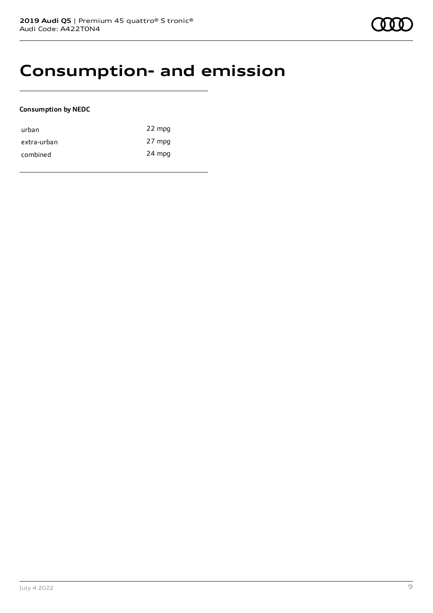### **Consumption- and emission**

### **Consumption by NEDC**

| urban       | 22 mpg |
|-------------|--------|
| extra-urban | 27 mpg |
| combined    | 24 mpg |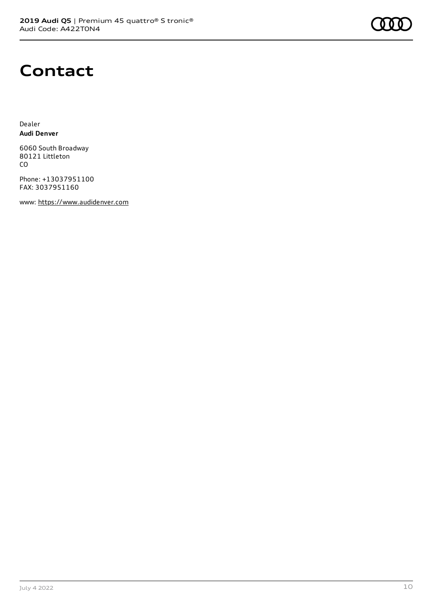

### **Contact**

Dealer **Audi Denver**

6060 South Broadway 80121 Littleton CO

Phone: +13037951100 FAX: 3037951160

www: [https://www.audidenver.com](https://www.audidenver.com/)